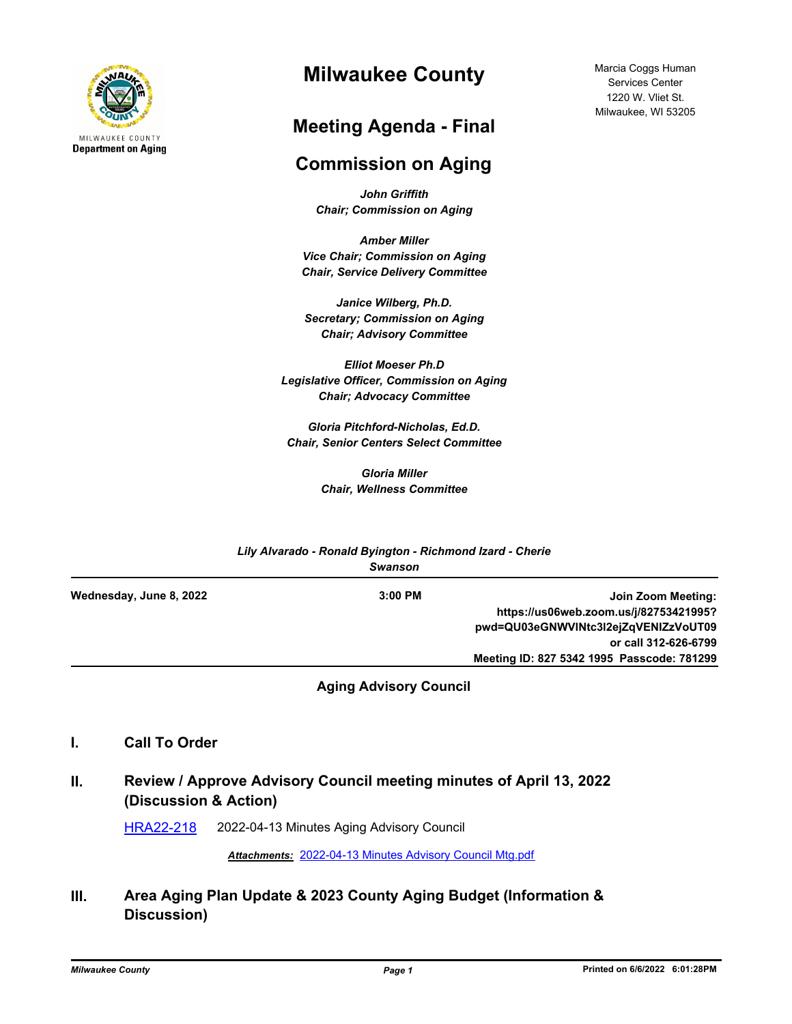

# **Milwaukee County**

# **Meeting Agenda - Final**

# **Commission on Aging**

*John Griffith Chair; Commission on Aging*

*Amber Miller Vice Chair; Commission on Aging Chair, Service Delivery Committee*

*Janice Wilberg, Ph.D. Secretary; Commission on Aging Chair; Advisory Committee*

*Elliot Moeser Ph.D Legislative Officer, Commission on Aging Chair; Advocacy Committee* 

*Gloria Pitchford-Nicholas, Ed.D. Chair, Senior Centers Select Committee*

> *Gloria Miller Chair, Wellness Committee*

| Lily Alvarado - Ronald Byington - Richmond Izard - Cherie<br><b>Swanson</b> |           |                                            |
|-----------------------------------------------------------------------------|-----------|--------------------------------------------|
| Wednesday, June 8, 2022                                                     | $3:00$ PM | Join Zoom Meeting:                         |
|                                                                             |           | https://us06web.zoom.us/j/82753421995?     |
|                                                                             |           | pwd=QU03eGNWVINtc3I2ejZqVENIZzVoUT09       |
|                                                                             |           | or call 312-626-6799                       |
|                                                                             |           | Meeting ID: 827 5342 1995 Passcode: 781299 |

**Aging Advisory Council**

- **I. Call To Order**
- **II. Review / Approve Advisory Council meeting minutes of April 13, 2022 (Discussion & Action)**

[HRA22-218](http://milwaukeecounty.legistar.com/gateway.aspx?m=l&id=/matter.aspx?key=12459) 2022-04-13 Minutes Aging Advisory Council

*Attachments:* [2022-04-13 Minutes Advisory Council Mtg.pdf](http://MilwaukeeCounty.legistar.com/gateway.aspx?M=F&ID=23e25e68-c14e-4bc0-8446-2b29b6674609.pdf)

**III. Area Aging Plan Update & 2023 County Aging Budget (Information & Discussion)**

Marcia Coggs Human Services Center 1220 W. Vliet St. Milwaukee, WI 53205